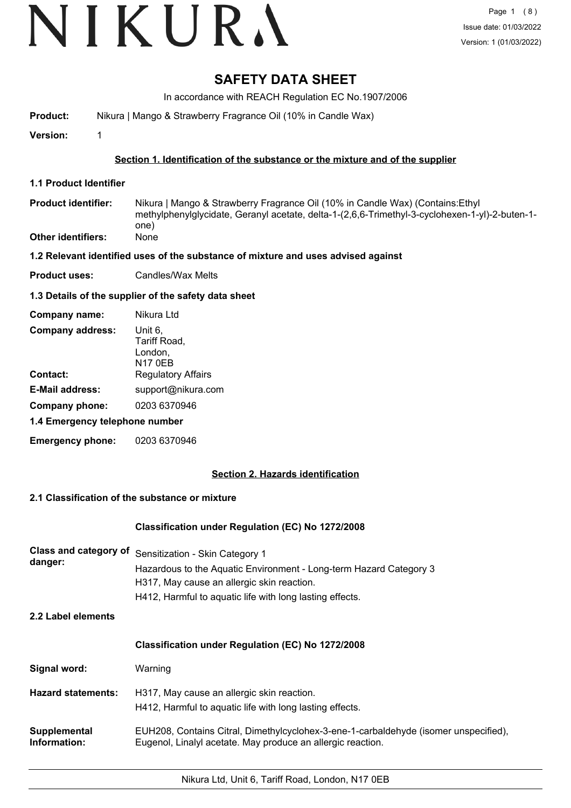# VIKURA

## **SAFETY DATA SHEET**

In accordance with REACH Regulation EC No.1907/2006

**Product:** Nikura | Mango & Strawberry Fragrance Oil (10% in Candle Wax)

**Version:** 1

#### **Section 1. Identification of the substance or the mixture and of the supplier**

- **1.1 Product Identifier**
- Nikura | Mango & Strawberry Fragrance Oil (10% in Candle Wax) (Contains:Ethyl methylphenylglycidate, Geranyl acetate, delta-1-(2,6,6-Trimethyl-3-cyclohexen-1-yl)-2-buten-1 one) **Product identifier: Other identifiers:** None
- **1.2 Relevant identified uses of the substance of mixture and uses advised against**
- **Product uses:** Candles/Wax Melts

#### **1.3 Details of the supplier of the safety data sheet**

| Company name:                  | Nikura Ltd                                    |
|--------------------------------|-----------------------------------------------|
| <b>Company address:</b>        | Unit 6,<br>Tariff Road,<br>London,<br>N17 0EB |
| Contact:                       | <b>Regulatory Affairs</b>                     |
| <b>E-Mail address:</b>         | support@nikura.com                            |
| Company phone:                 | 0203 6370946                                  |
| 1.4 Emergency telephone number |                                               |
| <b>Emergency phone:</b>        | 0203 6370946                                  |

#### **Section 2. Hazards identification**

#### **2.1 Classification of the substance or mixture**

#### **Classification under Regulation (EC) No 1272/2008**

| danger: | Class and category of Sensitization - Skin Category 1              |
|---------|--------------------------------------------------------------------|
|         | Hazardous to the Aquatic Environment - Long-term Hazard Category 3 |
|         | H317, May cause an allergic skin reaction.                         |
|         | H412, Harmful to aquatic life with long lasting effects.           |

**2.2 Label elements**

| <b>Classification under Regulation (EC) No 1272/2008</b> |  |
|----------------------------------------------------------|--|
|----------------------------------------------------------|--|

| Signal word:                 | Warning                                                                                                                                             |
|------------------------------|-----------------------------------------------------------------------------------------------------------------------------------------------------|
| <b>Hazard statements:</b>    | H317, May cause an allergic skin reaction.<br>H412, Harmful to aquatic life with long lasting effects.                                              |
| Supplemental<br>Information: | EUH208, Contains Citral, Dimethylcyclohex-3-ene-1-carbaldehyde (isomer unspecified),<br>Eugenol, Linalyl acetate. May produce an allergic reaction. |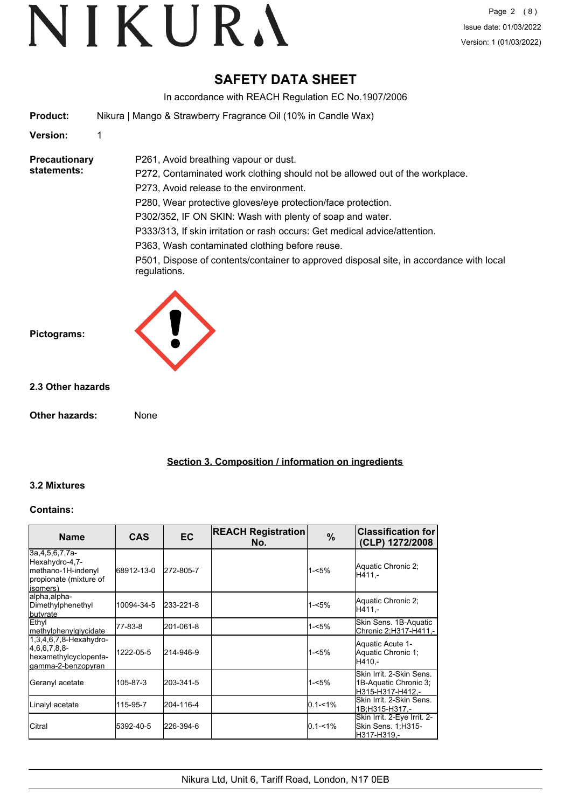## **SAFETY DATA SHEET**

In accordance with REACH Regulation EC No.1907/2006

**Product:** Nikura | Mango & Strawberry Fragrance Oil (10% in Candle Wax)

P261, Avoid breathing vapour or dust.

#### **Version:** 1

**Precautionary statements:**

P272, Contaminated work clothing should not be allowed out of the workplace. P273, Avoid release to the environment. P280, Wear protective gloves/eye protection/face protection. P302/352, IF ON SKIN: Wash with plenty of soap and water.

P333/313, If skin irritation or rash occurs: Get medical advice/attention.

P363, Wash contaminated clothing before reuse.

P501, Dispose of contents/container to approved disposal site, in accordance with local regulations.



#### **2.3 Other hazards**

**Pictograms:**

**Other hazards:** None

**Section 3. Composition / information on ingredients**

#### **3.2 Mixtures**

#### **Contains:**

| <b>Name</b>                                                                                  | <b>CAS</b> | <b>EC</b> | <b>REACH Registration</b><br>No. | %           | <b>Classification for</b><br>(CLP) 1272/2008                          |
|----------------------------------------------------------------------------------------------|------------|-----------|----------------------------------|-------------|-----------------------------------------------------------------------|
| 3a,4,5,6,7,7a-<br>Hexahydro-4,7-<br>methano-1H-indenyl<br>propionate (mixture of<br>(isomers | 68912-13-0 | 272-805-7 |                                  | $1 - 5%$    | Aquatic Chronic 2;<br>H411.-                                          |
| lalpha, alpha-<br>Dimethylphenethyl<br><b>butyrate</b>                                       | 10094-34-5 | 233-221-8 |                                  | $1 - 5%$    | Aquatic Chronic 2;<br>H411.-                                          |
| Ethyl<br><b>Imethylphenylglycidate</b>                                                       | 77-83-8    | 201-061-8 |                                  | $1 - 5%$    | Skin Sens. 1B-Aquatic<br>Chronic 2;H317-H411,-                        |
| $1,3,4,6,7,8$ -Hexahydro-<br>[4,6,6,7,8,8]<br>hexamethylcyclopenta-<br>gamma-2-benzopyran    | 1222-05-5  | 214-946-9 |                                  | $1 - 5%$    | Aquatic Acute 1-<br>Aquatic Chronic 1;<br>H410.-                      |
| Geranyl acetate                                                                              | 105-87-3   | 203-341-5 |                                  | $1 - 5%$    | Skin Irrit, 2-Skin Sens.<br>1B-Aquatic Chronic 3;<br>H315-H317-H412.- |
| Linalyl acetate                                                                              | 115-95-7   | 204-116-4 |                                  | $0.1 - 1\%$ | lSkin Irrit. 2-Skin Sens.<br>1B:H315-H317 -                           |
| <b>I</b> Citral                                                                              | 5392-40-5  | 226-394-6 |                                  | $0.1 - 1\%$ | Skin Irrit. 2-Eye Irrit. 2-<br>Skin Sens. 1;H315-<br>H317-H319,-      |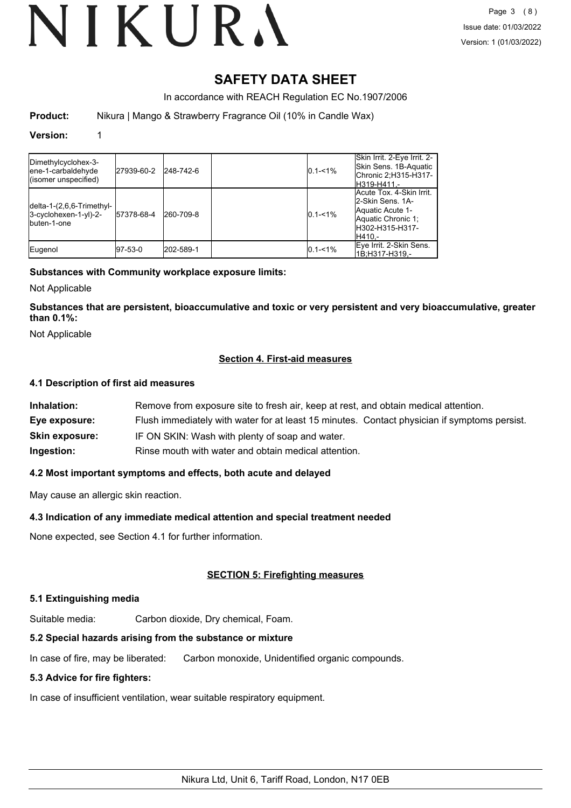# VIKURA

## **SAFETY DATA SHEET**

In accordance with REACH Regulation EC No.1907/2006

**Product:** Nikura | Mango & Strawberry Fragrance Oil (10% in Candle Wax)

#### **Version:** 1

| Dimethylcyclohex-3-<br>lene-1-carbaldehyde<br>(isomer unspecified)           | 27939-60-2 | 248-742-6 | $0.1 - 1\%$ | Skin Irrit. 2-Eye Irrit. 2-<br>lSkin Sens. 1B-Aquatic<br>Chronic 2;H315-H317-<br>H319-H411 -                          |
|------------------------------------------------------------------------------|------------|-----------|-------------|-----------------------------------------------------------------------------------------------------------------------|
| $ delta-1-(2,6,6-Trimethyl- $<br>$3-c$ yclohexen-1-yl $)-2-$<br>Ibuten-1-one | 57378-68-4 | 260-709-8 | $0.1 - 1\%$ | Acute Tox. 4-Skin Irrit.<br>2-Skin Sens, 1A-<br>Aquatic Acute 1-<br>Aquatic Chronic 1:<br>IH302-H315-H317-<br>IH410.- |
| Eugenol                                                                      | 97-53-0    | 202-589-1 | $0.1 - 1\%$ | Eye Irrit. 2-Skin Sens.<br>1B:H317-H319.-                                                                             |

#### **Substances with Community workplace exposure limits:**

Not Applicable

**Substances that are persistent, bioaccumulative and toxic or very persistent and very bioaccumulative, greater than 0.1%:**

Not Applicable

#### **Section 4. First-aid measures**

#### **4.1 Description of first aid measures**

| Inhalation:           | Remove from exposure site to fresh air, keep at rest, and obtain medical attention.          |
|-----------------------|----------------------------------------------------------------------------------------------|
| Eye exposure:         | Flush immediately with water for at least 15 minutes. Contact physician if symptoms persist. |
| <b>Skin exposure:</b> | IF ON SKIN: Wash with plenty of soap and water.                                              |
| Ingestion:            | Rinse mouth with water and obtain medical attention.                                         |

#### **4.2 Most important symptoms and effects, both acute and delayed**

May cause an allergic skin reaction.

#### **4.3 Indication of any immediate medical attention and special treatment needed**

None expected, see Section 4.1 for further information.

#### **SECTION 5: Firefighting measures**

#### **5.1 Extinguishing media**

Suitable media: Carbon dioxide, Dry chemical, Foam.

### **5.2 Special hazards arising from the substance or mixture**

In case of fire, may be liberated: Carbon monoxide, Unidentified organic compounds.

### **5.3 Advice for fire fighters:**

In case of insufficient ventilation, wear suitable respiratory equipment.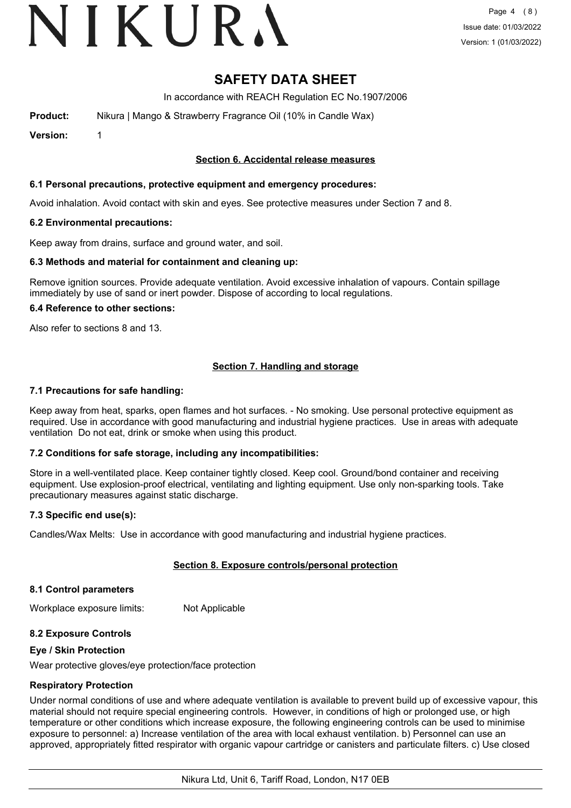# VIKURA

### **SAFETY DATA SHEET**

In accordance with REACH Regulation EC No.1907/2006

**Product:** Nikura | Mango & Strawberry Fragrance Oil (10% in Candle Wax)

**Version:** 1

#### **Section 6. Accidental release measures**

#### **6.1 Personal precautions, protective equipment and emergency procedures:**

Avoid inhalation. Avoid contact with skin and eyes. See protective measures under Section 7 and 8.

#### **6.2 Environmental precautions:**

Keep away from drains, surface and ground water, and soil.

#### **6.3 Methods and material for containment and cleaning up:**

Remove ignition sources. Provide adequate ventilation. Avoid excessive inhalation of vapours. Contain spillage immediately by use of sand or inert powder. Dispose of according to local regulations.

#### **6.4 Reference to other sections:**

Also refer to sections 8 and 13.

#### **Section 7. Handling and storage**

#### **7.1 Precautions for safe handling:**

Keep away from heat, sparks, open flames and hot surfaces. - No smoking. Use personal protective equipment as required. Use in accordance with good manufacturing and industrial hygiene practices. Use in areas with adequate ventilation Do not eat, drink or smoke when using this product.

#### **7.2 Conditions for safe storage, including any incompatibilities:**

Store in a well-ventilated place. Keep container tightly closed. Keep cool. Ground/bond container and receiving equipment. Use explosion-proof electrical, ventilating and lighting equipment. Use only non-sparking tools. Take precautionary measures against static discharge.

#### **7.3 Specific end use(s):**

Candles/Wax Melts: Use in accordance with good manufacturing and industrial hygiene practices.

#### **Section 8. Exposure controls/personal protection**

#### **8.1 Control parameters**

Workplace exposure limits: Not Applicable

#### **8.2 Exposure Controls**

#### **Eye / Skin Protection**

Wear protective gloves/eye protection/face protection

#### **Respiratory Protection**

Under normal conditions of use and where adequate ventilation is available to prevent build up of excessive vapour, this material should not require special engineering controls. However, in conditions of high or prolonged use, or high temperature or other conditions which increase exposure, the following engineering controls can be used to minimise exposure to personnel: a) Increase ventilation of the area with local exhaust ventilation. b) Personnel can use an approved, appropriately fitted respirator with organic vapour cartridge or canisters and particulate filters. c) Use closed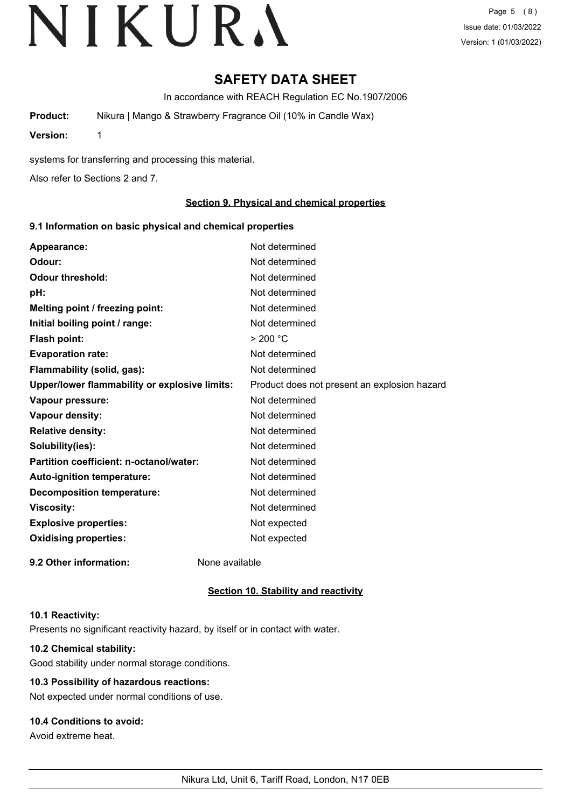## **SAFETY DATA SHEET**

In accordance with REACH Regulation EC No.1907/2006

**Product:** Nikura | Mango & Strawberry Fragrance Oil (10% in Candle Wax)

**Version:** 1

systems for transferring and processing this material.

Also refer to Sections 2 and 7.

#### **Section 9. Physical and chemical properties**

#### **9.1 Information on basic physical and chemical properties**

| Appearance:                                   | Not determined                               |
|-----------------------------------------------|----------------------------------------------|
| Odour:                                        | Not determined                               |
| <b>Odour threshold:</b>                       | Not determined                               |
| pH:                                           | Not determined                               |
| Melting point / freezing point:               | Not determined                               |
| Initial boiling point / range:                | Not determined                               |
| <b>Flash point:</b>                           | > 200 °C                                     |
| <b>Evaporation rate:</b>                      | Not determined                               |
| Flammability (solid, gas):                    | Not determined                               |
| Upper/lower flammability or explosive limits: | Product does not present an explosion hazard |
| Vapour pressure:                              | Not determined                               |
| Vapour density:                               | Not determined                               |
| <b>Relative density:</b>                      | Not determined                               |
| Solubility(ies):                              | Not determined                               |
| Partition coefficient: n-octanol/water:       | Not determined                               |
| Auto-ignition temperature:                    | Not determined                               |
| <b>Decomposition temperature:</b>             | Not determined                               |
| <b>Viscosity:</b>                             | Not determined                               |
| <b>Explosive properties:</b>                  | Not expected                                 |
| <b>Oxidising properties:</b>                  | Not expected                                 |
| 9.2 Other information:                        | None available                               |

#### **Section 10. Stability and reactivity**

#### **10.1 Reactivity:**

Presents no significant reactivity hazard, by itself or in contact with water.

#### **10.2 Chemical stability:**

Good stability under normal storage conditions.

### **10.3 Possibility of hazardous reactions:**

Not expected under normal conditions of use.

### **10.4 Conditions to avoid:**

Avoid extreme heat.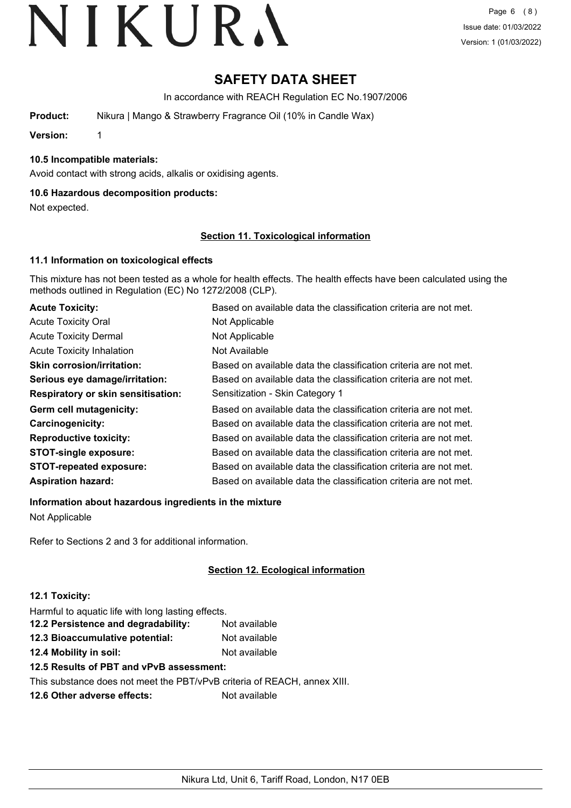## **SAFETY DATA SHEET**

In accordance with REACH Regulation EC No.1907/2006

**Product:** Nikura | Mango & Strawberry Fragrance Oil (10% in Candle Wax)

**Version:** 1

#### **10.5 Incompatible materials:**

Avoid contact with strong acids, alkalis or oxidising agents.

#### **10.6 Hazardous decomposition products:**

Not expected.

#### **Section 11. Toxicological information**

#### **11.1 Information on toxicological effects**

This mixture has not been tested as a whole for health effects. The health effects have been calculated using the methods outlined in Regulation (EC) No 1272/2008 (CLP).

| <b>Acute Toxicity:</b>                    | Based on available data the classification criteria are not met. |
|-------------------------------------------|------------------------------------------------------------------|
| <b>Acute Toxicity Oral</b>                | Not Applicable                                                   |
| <b>Acute Toxicity Dermal</b>              | Not Applicable                                                   |
| <b>Acute Toxicity Inhalation</b>          | Not Available                                                    |
| <b>Skin corrosion/irritation:</b>         | Based on available data the classification criteria are not met. |
| Serious eye damage/irritation:            | Based on available data the classification criteria are not met. |
| <b>Respiratory or skin sensitisation:</b> | Sensitization - Skin Category 1                                  |
| Germ cell mutagenicity:                   | Based on available data the classification criteria are not met. |
| Carcinogenicity:                          | Based on available data the classification criteria are not met. |
| <b>Reproductive toxicity:</b>             | Based on available data the classification criteria are not met. |
| <b>STOT-single exposure:</b>              | Based on available data the classification criteria are not met. |
| <b>STOT-repeated exposure:</b>            | Based on available data the classification criteria are not met. |
| <b>Aspiration hazard:</b>                 | Based on available data the classification criteria are not met. |

**Information about hazardous ingredients in the mixture**

Not Applicable

Refer to Sections 2 and 3 for additional information.

#### **Section 12. Ecological information**

#### **12.1 Toxicity:**

Harmful to aquatic life with long lasting effects.

| 12.2 Persistence and degradability: | Not available |
|-------------------------------------|---------------|
| 12.3 Bioaccumulative potential:     | Not available |
|                                     |               |

**12.4 Mobility in soil:** Not available

### **12.5 Results of PBT and vPvB assessment:**

This substance does not meet the PBT/vPvB criteria of REACH, annex XIII.

**12.6 Other adverse effects:** Not available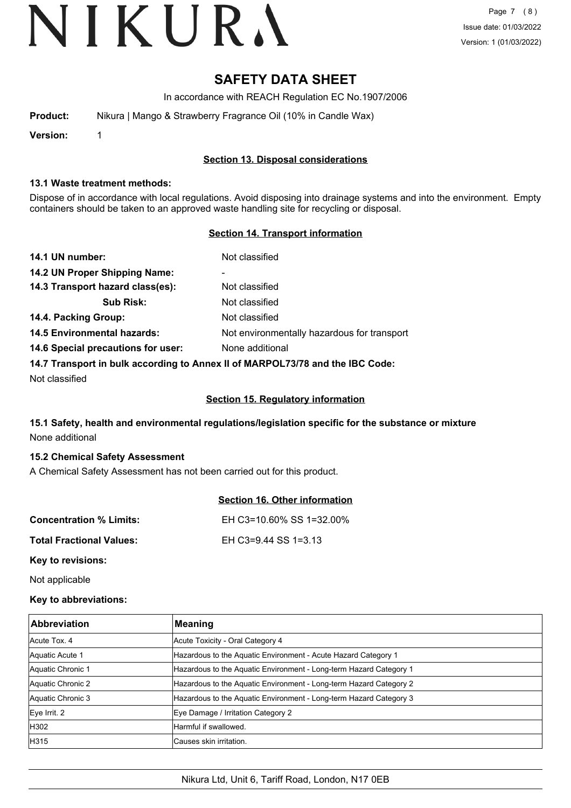## **SAFETY DATA SHEET**

In accordance with REACH Regulation EC No.1907/2006

| Product: | Nikura   Mango & Strawberry Fragrance Oil (10% in Candle Wax) |
|----------|---------------------------------------------------------------|
|----------|---------------------------------------------------------------|

**Version:** 1

#### **Section 13. Disposal considerations**

#### **13.1 Waste treatment methods:**

Dispose of in accordance with local regulations. Avoid disposing into drainage systems and into the environment. Empty containers should be taken to an approved waste handling site for recycling or disposal.

#### **Section 14. Transport information**

| 14.1 UN number:                                                               | Not classified                              |  |
|-------------------------------------------------------------------------------|---------------------------------------------|--|
| 14.2 UN Proper Shipping Name:                                                 | ۰                                           |  |
| 14.3 Transport hazard class(es):                                              | Not classified                              |  |
| <b>Sub Risk:</b>                                                              | Not classified                              |  |
| 14.4. Packing Group:                                                          | Not classified                              |  |
| <b>14.5 Environmental hazards:</b>                                            | Not environmentally hazardous for transport |  |
| 14.6 Special precautions for user:                                            | None additional                             |  |
| 14.7 Transport in bulk according to Annex II of MARPOL73/78 and the IBC Code: |                                             |  |

Not classified

#### **Section 15. Regulatory information**

#### **15.1 Safety, health and environmental regulations/legislation specific for the substance or mixture** None additional

#### **15.2 Chemical Safety Assessment**

A Chemical Safety Assessment has not been carried out for this product.

|                                 | Section 16. Other information |
|---------------------------------|-------------------------------|
| <b>Concentration % Limits:</b>  | EH C3=10.60% SS 1=32.00%      |
| <b>Total Fractional Values:</b> | EH C3=9.44 SS 1=3.13          |
| Key to revisions:               |                               |

Not applicable

#### **Key to abbreviations:**

| <b>Abbreviation</b> | <b>Meaning</b>                                                     |
|---------------------|--------------------------------------------------------------------|
| Acute Tox, 4        | Acute Toxicity - Oral Category 4                                   |
| Aquatic Acute 1     | Hazardous to the Aquatic Environment - Acute Hazard Category 1     |
| Aquatic Chronic 1   | Hazardous to the Aquatic Environment - Long-term Hazard Category 1 |
| Aquatic Chronic 2   | Hazardous to the Aquatic Environment - Long-term Hazard Category 2 |
| Aquatic Chronic 3   | Hazardous to the Aquatic Environment - Long-term Hazard Category 3 |
| Eye Irrit. 2        | Eye Damage / Irritation Category 2                                 |
| H302                | Harmful if swallowed.                                              |
| H315                | lCauses skin irritation.                                           |